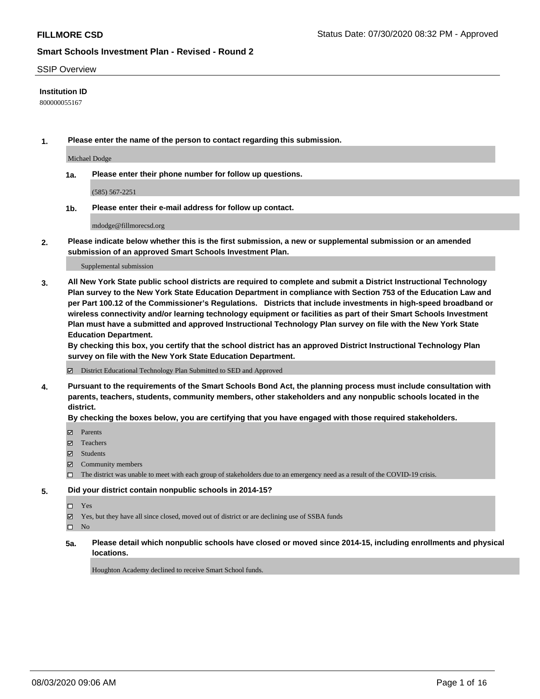#### SSIP Overview

#### **Institution ID**

800000055167

**1. Please enter the name of the person to contact regarding this submission.**

Michael Dodge

**1a. Please enter their phone number for follow up questions.**

(585) 567-2251

**1b. Please enter their e-mail address for follow up contact.**

mdodge@fillmorecsd.org

**2. Please indicate below whether this is the first submission, a new or supplemental submission or an amended submission of an approved Smart Schools Investment Plan.**

#### Supplemental submission

**3. All New York State public school districts are required to complete and submit a District Instructional Technology Plan survey to the New York State Education Department in compliance with Section 753 of the Education Law and per Part 100.12 of the Commissioner's Regulations. Districts that include investments in high-speed broadband or wireless connectivity and/or learning technology equipment or facilities as part of their Smart Schools Investment Plan must have a submitted and approved Instructional Technology Plan survey on file with the New York State Education Department.** 

**By checking this box, you certify that the school district has an approved District Instructional Technology Plan survey on file with the New York State Education Department.**

District Educational Technology Plan Submitted to SED and Approved

**4. Pursuant to the requirements of the Smart Schools Bond Act, the planning process must include consultation with parents, teachers, students, community members, other stakeholders and any nonpublic schools located in the district.** 

#### **By checking the boxes below, you are certifying that you have engaged with those required stakeholders.**

- **Parents**
- Teachers
- Students
- $\boxtimes$  Community members
- The district was unable to meet with each group of stakeholders due to an emergency need as a result of the COVID-19 crisis.

### **5. Did your district contain nonpublic schools in 2014-15?**

- Yes
- Yes, but they have all since closed, moved out of district or are declining use of SSBA funds

 $\square$  No

**5a. Please detail which nonpublic schools have closed or moved since 2014-15, including enrollments and physical locations.**

Houghton Academy declined to receive Smart School funds.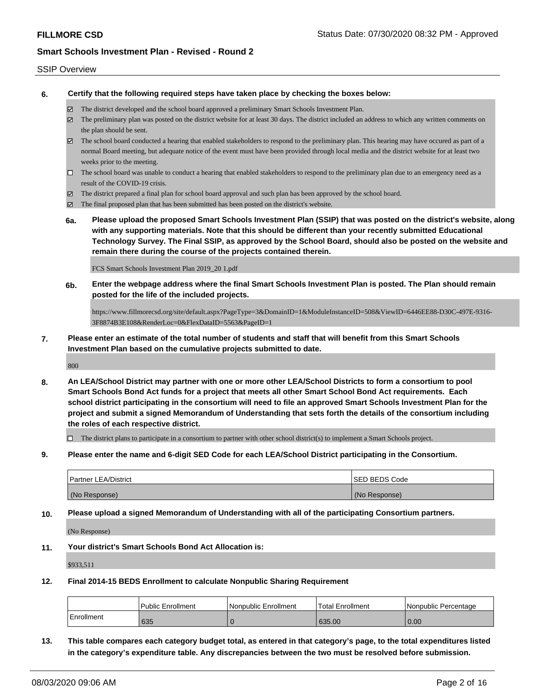#### SSIP Overview

**6. Certify that the following required steps have taken place by checking the boxes below:**

- The district developed and the school board approved a preliminary Smart Schools Investment Plan.
- $\boxtimes$  The preliminary plan was posted on the district website for at least 30 days. The district included an address to which any written comments on the plan should be sent.
- $\boxtimes$  The school board conducted a hearing that enabled stakeholders to respond to the preliminary plan. This hearing may have occured as part of a normal Board meeting, but adequate notice of the event must have been provided through local media and the district website for at least two weeks prior to the meeting.
- $\Box$  The school board was unable to conduct a hearing that enabled stakeholders to respond to the preliminary plan due to an emergency need as a result of the COVID-19 crisis.
- The district prepared a final plan for school board approval and such plan has been approved by the school board.
- $\boxtimes$  The final proposed plan that has been submitted has been posted on the district's website.
- **6a. Please upload the proposed Smart Schools Investment Plan (SSIP) that was posted on the district's website, along with any supporting materials. Note that this should be different than your recently submitted Educational Technology Survey. The Final SSIP, as approved by the School Board, should also be posted on the website and remain there during the course of the projects contained therein.**

FCS Smart Schools Investment Plan 2019\_20 1.pdf

**6b. Enter the webpage address where the final Smart Schools Investment Plan is posted. The Plan should remain posted for the life of the included projects.**

https://www.fillmorecsd.org/site/default.aspx?PageType=3&DomainID=1&ModuleInstanceID=508&ViewID=6446EE88-D30C-497E-9316- 3F8874B3E108&RenderLoc=0&FlexDataID=5563&PageID=1

**7. Please enter an estimate of the total number of students and staff that will benefit from this Smart Schools Investment Plan based on the cumulative projects submitted to date.**

800

**8. An LEA/School District may partner with one or more other LEA/School Districts to form a consortium to pool Smart Schools Bond Act funds for a project that meets all other Smart School Bond Act requirements. Each school district participating in the consortium will need to file an approved Smart Schools Investment Plan for the project and submit a signed Memorandum of Understanding that sets forth the details of the consortium including the roles of each respective district.**

 $\Box$  The district plans to participate in a consortium to partner with other school district(s) to implement a Smart Schools project.

**9. Please enter the name and 6-digit SED Code for each LEA/School District participating in the Consortium.**

| <b>Partner LEA/District</b> | <b>ISED BEDS Code</b> |
|-----------------------------|-----------------------|
| (No Response)               | (No Response)         |

**10. Please upload a signed Memorandum of Understanding with all of the participating Consortium partners.**

(No Response)

**11. Your district's Smart Schools Bond Act Allocation is:**

\$933,511

**12. Final 2014-15 BEDS Enrollment to calculate Nonpublic Sharing Requirement**

|            | Public Enrollment | Nonpublic Enrollment | <sup>1</sup> Total Enrollment | l Nonpublic Percentage |
|------------|-------------------|----------------------|-------------------------------|------------------------|
| Enrollment | 635               |                      | 635.00                        | 0.00                   |

**13. This table compares each category budget total, as entered in that category's page, to the total expenditures listed in the category's expenditure table. Any discrepancies between the two must be resolved before submission.**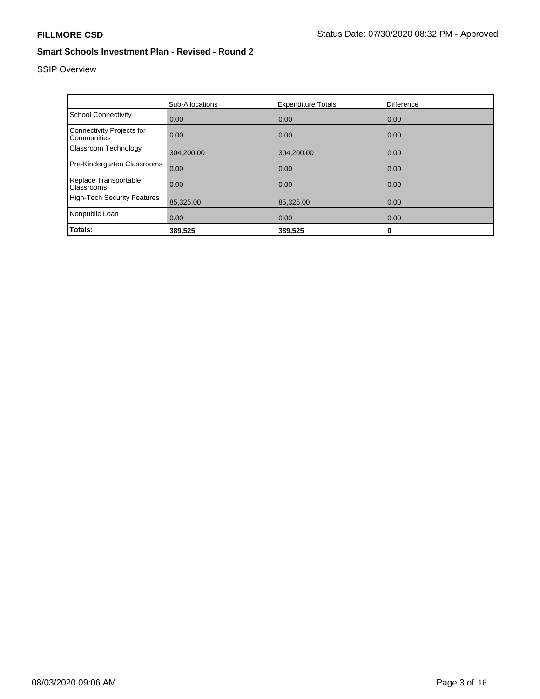# SSIP Overview

|                                                 | <b>Sub-Allocations</b> | <b>Expenditure Totals</b> | Difference |
|-------------------------------------------------|------------------------|---------------------------|------------|
| <b>School Connectivity</b>                      | 0.00                   | 0.00                      | 0.00       |
| <b>Connectivity Projects for</b><br>Communities | 0.00                   | 0.00                      | 0.00       |
| Classroom Technology                            | 304,200.00             | 304,200.00                | 0.00       |
| Pre-Kindergarten Classrooms                     | 0.00                   | 0.00                      | 0.00       |
| Replace Transportable<br>Classrooms             | 0.00                   | 0.00                      | 0.00       |
| <b>High-Tech Security Features</b>              | 85,325.00              | 85,325.00                 | 0.00       |
| Nonpublic Loan                                  | 0.00                   | 0.00                      | 0.00       |
| Totals:                                         | 389,525                | 389,525                   | 0          |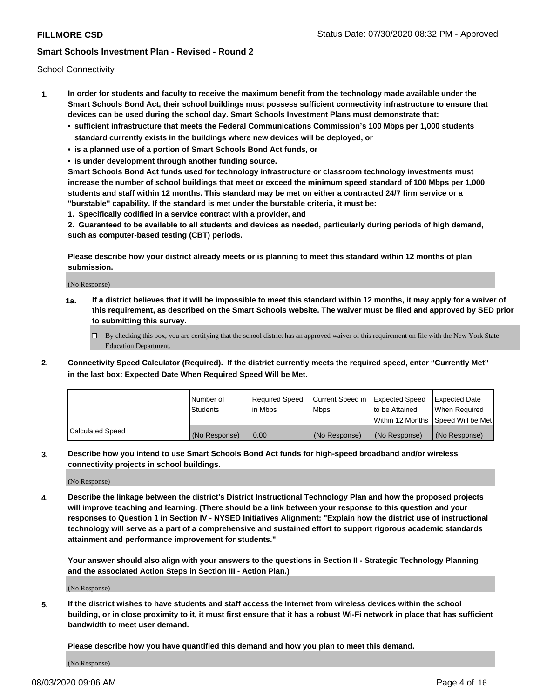School Connectivity

- **1. In order for students and faculty to receive the maximum benefit from the technology made available under the Smart Schools Bond Act, their school buildings must possess sufficient connectivity infrastructure to ensure that devices can be used during the school day. Smart Schools Investment Plans must demonstrate that:**
	- **• sufficient infrastructure that meets the Federal Communications Commission's 100 Mbps per 1,000 students standard currently exists in the buildings where new devices will be deployed, or**
	- **• is a planned use of a portion of Smart Schools Bond Act funds, or**
	- **• is under development through another funding source.**

**Smart Schools Bond Act funds used for technology infrastructure or classroom technology investments must increase the number of school buildings that meet or exceed the minimum speed standard of 100 Mbps per 1,000 students and staff within 12 months. This standard may be met on either a contracted 24/7 firm service or a "burstable" capability. If the standard is met under the burstable criteria, it must be:**

**1. Specifically codified in a service contract with a provider, and**

**2. Guaranteed to be available to all students and devices as needed, particularly during periods of high demand, such as computer-based testing (CBT) periods.**

**Please describe how your district already meets or is planning to meet this standard within 12 months of plan submission.**

(No Response)

**1a. If a district believes that it will be impossible to meet this standard within 12 months, it may apply for a waiver of this requirement, as described on the Smart Schools website. The waiver must be filed and approved by SED prior to submitting this survey.**

 $\Box$  By checking this box, you are certifying that the school district has an approved waiver of this requirement on file with the New York State Education Department.

**2. Connectivity Speed Calculator (Required). If the district currently meets the required speed, enter "Currently Met" in the last box: Expected Date When Required Speed Will be Met.**

|                  | l Number of     | Required Speed | Current Speed in | Expected Speed  | Expected Date                           |
|------------------|-----------------|----------------|------------------|-----------------|-----------------------------------------|
|                  | <b>Students</b> | In Mbps        | l Mbps           | to be Attained  | When Required                           |
|                  |                 |                |                  |                 | l Within 12 Months ISpeed Will be Met l |
| Calculated Speed | (No Response)   | 0.00           | (No Response)    | l (No Response) | l (No Response)                         |

**3. Describe how you intend to use Smart Schools Bond Act funds for high-speed broadband and/or wireless connectivity projects in school buildings.**

(No Response)

**4. Describe the linkage between the district's District Instructional Technology Plan and how the proposed projects will improve teaching and learning. (There should be a link between your response to this question and your responses to Question 1 in Section IV - NYSED Initiatives Alignment: "Explain how the district use of instructional technology will serve as a part of a comprehensive and sustained effort to support rigorous academic standards attainment and performance improvement for students."** 

**Your answer should also align with your answers to the questions in Section II - Strategic Technology Planning and the associated Action Steps in Section III - Action Plan.)**

(No Response)

**5. If the district wishes to have students and staff access the Internet from wireless devices within the school building, or in close proximity to it, it must first ensure that it has a robust Wi-Fi network in place that has sufficient bandwidth to meet user demand.**

**Please describe how you have quantified this demand and how you plan to meet this demand.**

(No Response)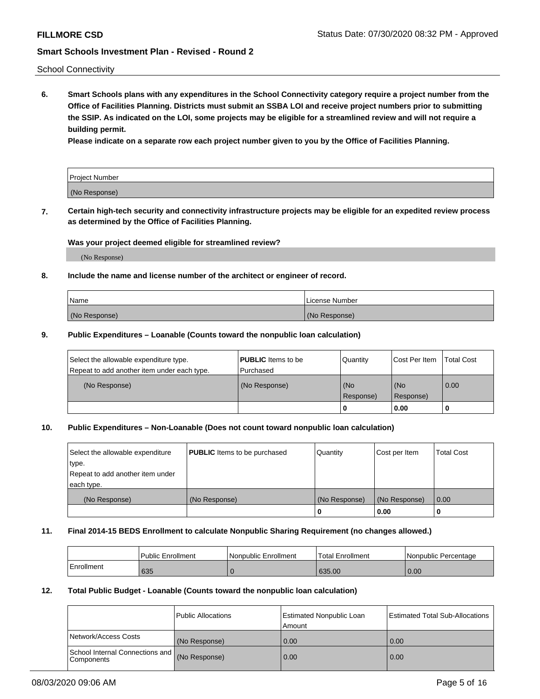School Connectivity

**6. Smart Schools plans with any expenditures in the School Connectivity category require a project number from the Office of Facilities Planning. Districts must submit an SSBA LOI and receive project numbers prior to submitting the SSIP. As indicated on the LOI, some projects may be eligible for a streamlined review and will not require a building permit.**

**Please indicate on a separate row each project number given to you by the Office of Facilities Planning.**

| Project Number |  |
|----------------|--|
| (No Response)  |  |

**7. Certain high-tech security and connectivity infrastructure projects may be eligible for an expedited review process as determined by the Office of Facilities Planning.**

### **Was your project deemed eligible for streamlined review?**

(No Response)

#### **8. Include the name and license number of the architect or engineer of record.**

| Name          | License Number |
|---------------|----------------|
| (No Response) | (No Response)  |

#### **9. Public Expenditures – Loanable (Counts toward the nonpublic loan calculation)**

| Select the allowable expenditure type.<br>Repeat to add another item under each type. | <b>PUBLIC</b> Items to be<br>l Purchased | Quantity           | Cost Per Item    | <b>Total Cost</b> |
|---------------------------------------------------------------------------------------|------------------------------------------|--------------------|------------------|-------------------|
| (No Response)                                                                         | (No Response)                            | l (No<br>Response) | (No<br>Response) | $\overline{0.00}$ |
|                                                                                       |                                          | O                  | 0.00             |                   |

### **10. Public Expenditures – Non-Loanable (Does not count toward nonpublic loan calculation)**

| Select the allowable expenditure<br>type.<br>Repeat to add another item under<br>each type. | <b>PUBLIC</b> Items to be purchased | Quantity      | Cost per Item | <b>Total Cost</b> |
|---------------------------------------------------------------------------------------------|-------------------------------------|---------------|---------------|-------------------|
| (No Response)                                                                               | (No Response)                       | (No Response) | (No Response) | 0.00              |
|                                                                                             |                                     |               | 0.00          |                   |

#### **11. Final 2014-15 BEDS Enrollment to calculate Nonpublic Sharing Requirement (no changes allowed.)**

|            | Public Enrollment | l Nonpublic Enrollment | <b>Total Enrollment</b> | Nonpublic Percentage |
|------------|-------------------|------------------------|-------------------------|----------------------|
| Enrollment | 635               |                        | 635.00                  | 0.00                 |

#### **12. Total Public Budget - Loanable (Counts toward the nonpublic loan calculation)**

|                                                      | Public Allocations | <b>Estimated Nonpublic Loan</b><br>Amount | Estimated Total Sub-Allocations |
|------------------------------------------------------|--------------------|-------------------------------------------|---------------------------------|
| Network/Access Costs                                 | (No Response)      | 0.00                                      | 0.00                            |
| School Internal Connections and<br><b>Components</b> | (No Response)      | 0.00                                      | 0.00                            |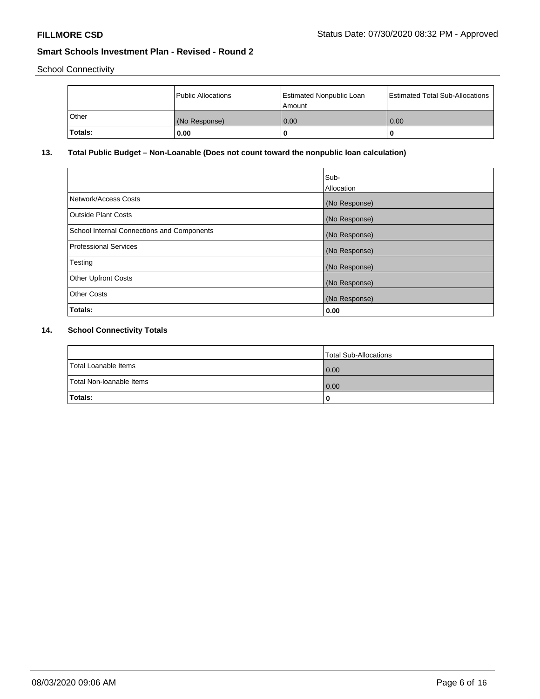School Connectivity

|          | Public Allocations | Estimated Nonpublic Loan<br>l Amount i | Estimated Total Sub-Allocations |
|----------|--------------------|----------------------------------------|---------------------------------|
| l Other  | (No Response)      | 0.00                                   | 0.00                            |
| 'Totals: | 0.00               | 0                                      | 0                               |

# **13. Total Public Budget – Non-Loanable (Does not count toward the nonpublic loan calculation)**

|                                                   | Sub-<br>Allocation |
|---------------------------------------------------|--------------------|
| Network/Access Costs                              | (No Response)      |
| Outside Plant Costs                               | (No Response)      |
| <b>School Internal Connections and Components</b> | (No Response)      |
| Professional Services                             | (No Response)      |
| Testing                                           | (No Response)      |
| <b>Other Upfront Costs</b>                        | (No Response)      |
| <b>Other Costs</b>                                | (No Response)      |
| Totals:                                           | 0.00               |

# **14. School Connectivity Totals**

|                          | Total Sub-Allocations |
|--------------------------|-----------------------|
| Total Loanable Items     | 0.00                  |
| Total Non-Ioanable Items | 0.00                  |
| Totals:                  | 0                     |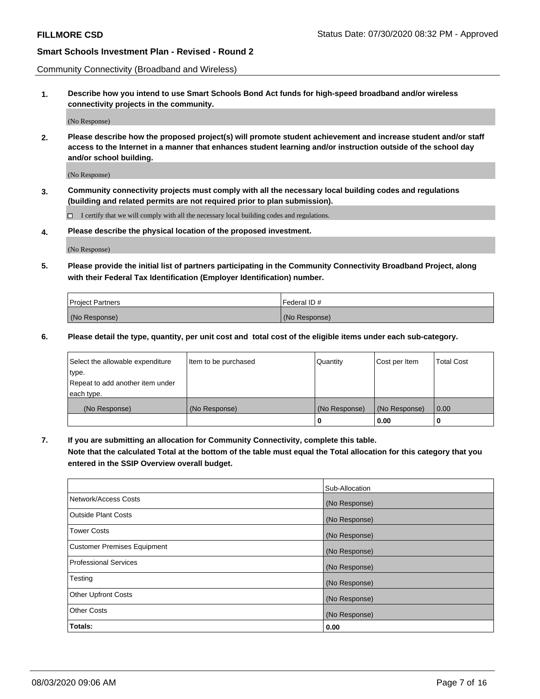Community Connectivity (Broadband and Wireless)

**1. Describe how you intend to use Smart Schools Bond Act funds for high-speed broadband and/or wireless connectivity projects in the community.**

(No Response)

**2. Please describe how the proposed project(s) will promote student achievement and increase student and/or staff access to the Internet in a manner that enhances student learning and/or instruction outside of the school day and/or school building.**

(No Response)

**3. Community connectivity projects must comply with all the necessary local building codes and regulations (building and related permits are not required prior to plan submission).**

 $\Box$  I certify that we will comply with all the necessary local building codes and regulations.

**4. Please describe the physical location of the proposed investment.**

(No Response)

**5. Please provide the initial list of partners participating in the Community Connectivity Broadband Project, along with their Federal Tax Identification (Employer Identification) number.**

| <b>Project Partners</b> | l Federal ID # |
|-------------------------|----------------|
| (No Response)           | (No Response)  |

**6. Please detail the type, quantity, per unit cost and total cost of the eligible items under each sub-category.**

| Select the allowable expenditure | Item to be purchased | Quantity      | Cost per Item | <b>Total Cost</b> |
|----------------------------------|----------------------|---------------|---------------|-------------------|
| type.                            |                      |               |               |                   |
| Repeat to add another item under |                      |               |               |                   |
| each type.                       |                      |               |               |                   |
| (No Response)                    | (No Response)        | (No Response) | (No Response) | 0.00              |
|                                  |                      | o             | 0.00          |                   |

**7. If you are submitting an allocation for Community Connectivity, complete this table.**

**Note that the calculated Total at the bottom of the table must equal the Total allocation for this category that you entered in the SSIP Overview overall budget.**

|                                    | Sub-Allocation |
|------------------------------------|----------------|
| Network/Access Costs               | (No Response)  |
| Outside Plant Costs                | (No Response)  |
| <b>Tower Costs</b>                 | (No Response)  |
| <b>Customer Premises Equipment</b> | (No Response)  |
| <b>Professional Services</b>       | (No Response)  |
| Testing                            | (No Response)  |
| <b>Other Upfront Costs</b>         | (No Response)  |
| <b>Other Costs</b>                 | (No Response)  |
| Totals:                            | 0.00           |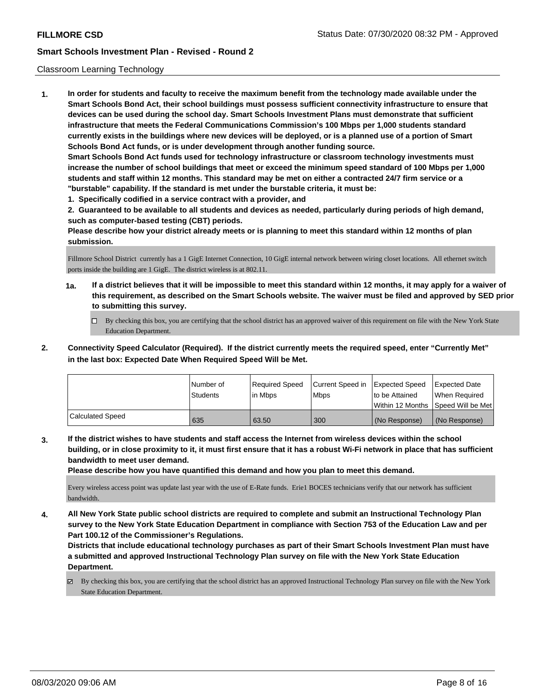#### Classroom Learning Technology

**1. In order for students and faculty to receive the maximum benefit from the technology made available under the Smart Schools Bond Act, their school buildings must possess sufficient connectivity infrastructure to ensure that devices can be used during the school day. Smart Schools Investment Plans must demonstrate that sufficient infrastructure that meets the Federal Communications Commission's 100 Mbps per 1,000 students standard currently exists in the buildings where new devices will be deployed, or is a planned use of a portion of Smart Schools Bond Act funds, or is under development through another funding source. Smart Schools Bond Act funds used for technology infrastructure or classroom technology investments must increase the number of school buildings that meet or exceed the minimum speed standard of 100 Mbps per 1,000 students and staff within 12 months. This standard may be met on either a contracted 24/7 firm service or a "burstable" capability. If the standard is met under the burstable criteria, it must be:**

**1. Specifically codified in a service contract with a provider, and**

**2. Guaranteed to be available to all students and devices as needed, particularly during periods of high demand, such as computer-based testing (CBT) periods.**

**Please describe how your district already meets or is planning to meet this standard within 12 months of plan submission.**

Fillmore School District currently has a 1 GigE Internet Connection, 10 GigE internal network between wiring closet locations. All ethernet switch ports inside the building are 1 GigE. The district wireless is at 802.11.

- **1a. If a district believes that it will be impossible to meet this standard within 12 months, it may apply for a waiver of this requirement, as described on the Smart Schools website. The waiver must be filed and approved by SED prior to submitting this survey.**
	- By checking this box, you are certifying that the school district has an approved waiver of this requirement on file with the New York State Education Department.
- **2. Connectivity Speed Calculator (Required). If the district currently meets the required speed, enter "Currently Met" in the last box: Expected Date When Required Speed Will be Met.**

|                  | l Number of<br><b>Students</b> | Required Speed<br>l in Mbps | Current Speed in<br>l Mbps | <b>Expected Speed</b><br>to be Attained | <b>Expected Date</b><br>When Required<br> Within 12 Months  Speed Will be Met |
|------------------|--------------------------------|-----------------------------|----------------------------|-----------------------------------------|-------------------------------------------------------------------------------|
| Calculated Speed | 635                            | 63.50                       | 300                        | l (No Response)                         | (No Response)                                                                 |

**3. If the district wishes to have students and staff access the Internet from wireless devices within the school building, or in close proximity to it, it must first ensure that it has a robust Wi-Fi network in place that has sufficient bandwidth to meet user demand.**

**Please describe how you have quantified this demand and how you plan to meet this demand.**

Every wireless access point was update last year with the use of E-Rate funds. Erie1 BOCES technicians verify that our network has sufficient bandwidth.

**4. All New York State public school districts are required to complete and submit an Instructional Technology Plan survey to the New York State Education Department in compliance with Section 753 of the Education Law and per Part 100.12 of the Commissioner's Regulations.**

**Districts that include educational technology purchases as part of their Smart Schools Investment Plan must have a submitted and approved Instructional Technology Plan survey on file with the New York State Education Department.**

By checking this box, you are certifying that the school district has an approved Instructional Technology Plan survey on file with the New York State Education Department.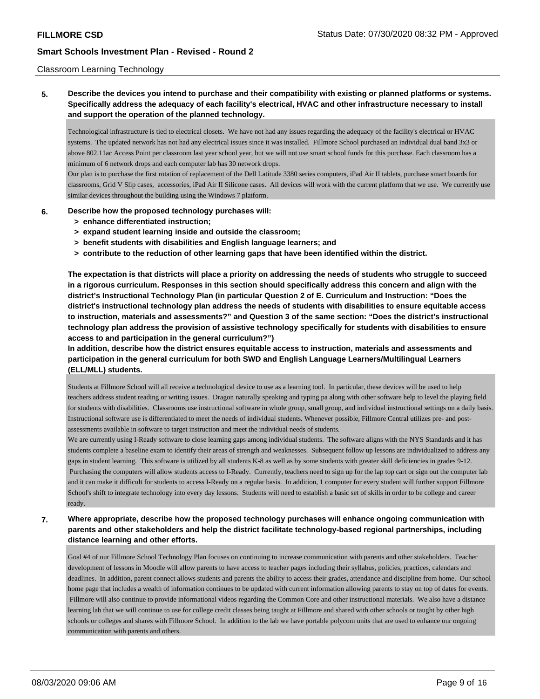#### Classroom Learning Technology

**5. Describe the devices you intend to purchase and their compatibility with existing or planned platforms or systems. Specifically address the adequacy of each facility's electrical, HVAC and other infrastructure necessary to install and support the operation of the planned technology.**

Technological infrastructure is tied to electrical closets. We have not had any issues regarding the adequacy of the facility's electrical or HVAC systems. The updated network has not had any electrical issues since it was installed. Fillmore School purchased an individual dual band 3x3 or above 802.11ac Access Point per classroom last year school year, but we will not use smart school funds for this purchase. Each classroom has a minimum of 6 network drops and each computer lab has 30 network drops.

Our plan is to purchase the first rotation of replacement of the Dell Latitude 3380 series computers, iPad Air II tablets, purchase smart boards for classrooms, Grid V Slip cases, accessories, iPad Air II Silicone cases. All devices will work with the current platform that we use. We currently use similar devices throughout the building using the Windows 7 platform.

### **6. Describe how the proposed technology purchases will:**

- **> enhance differentiated instruction;**
- **> expand student learning inside and outside the classroom;**
- **> benefit students with disabilities and English language learners; and**
- **> contribute to the reduction of other learning gaps that have been identified within the district.**

**The expectation is that districts will place a priority on addressing the needs of students who struggle to succeed in a rigorous curriculum. Responses in this section should specifically address this concern and align with the district's Instructional Technology Plan (in particular Question 2 of E. Curriculum and Instruction: "Does the district's instructional technology plan address the needs of students with disabilities to ensure equitable access to instruction, materials and assessments?" and Question 3 of the same section: "Does the district's instructional technology plan address the provision of assistive technology specifically for students with disabilities to ensure access to and participation in the general curriculum?")**

**In addition, describe how the district ensures equitable access to instruction, materials and assessments and participation in the general curriculum for both SWD and English Language Learners/Multilingual Learners (ELL/MLL) students.**

Students at Fillmore School will all receive a technological device to use as a learning tool. In particular, these devices will be used to help teachers address student reading or writing issues. Dragon naturally speaking and typing pa along with other software help to level the playing field for students with disabilities. Classrooms use instructional software in whole group, small group, and individual instructional settings on a daily basis. Instructional software use is differentiated to meet the needs of individual students. Whenever possible, Fillmore Central utilizes pre- and postassessments available in software to target instruction and meet the individual needs of students.

We are currently using I-Ready software to close learning gaps among individual students. The software aligns with the NYS Standards and it has students complete a baseline exam to identify their areas of strength and weaknesses. Subsequent follow up lessons are individualized to address any gaps in student learning. This software is utilized by all students K-8 as well as by some students with greater skill deficiencies in grades 9-12. Purchasing the computers will allow students access to I-Ready. Currently, teachers need to sign up for the lap top cart or sign out the computer lab and it can make it difficult for students to access I-Ready on a regular basis. In addition, 1 computer for every student will further support Fillmore School's shift to integrate technology into every day lessons. Students will need to establish a basic set of skills in order to be college and career ready.

### **7. Where appropriate, describe how the proposed technology purchases will enhance ongoing communication with parents and other stakeholders and help the district facilitate technology-based regional partnerships, including distance learning and other efforts.**

Goal #4 of our Fillmore School Technology Plan focuses on continuing to increase communication with parents and other stakeholders. Teacher development of lessons in Moodle will allow parents to have access to teacher pages including their syllabus, policies, practices, calendars and deadlines. In addition, parent connect allows students and parents the ability to access their grades, attendance and discipline from home. Our school home page that includes a wealth of information continues to be updated with current information allowing parents to stay on top of dates for events. Fillmore will also continue to provide informational videos regarding the Common Core and other instructional materials. We also have a distance learning lab that we will continue to use for college credit classes being taught at Fillmore and shared with other schools or taught by other high schools or colleges and shares with Fillmore School. In addition to the lab we have portable polycom units that are used to enhance our ongoing communication with parents and others.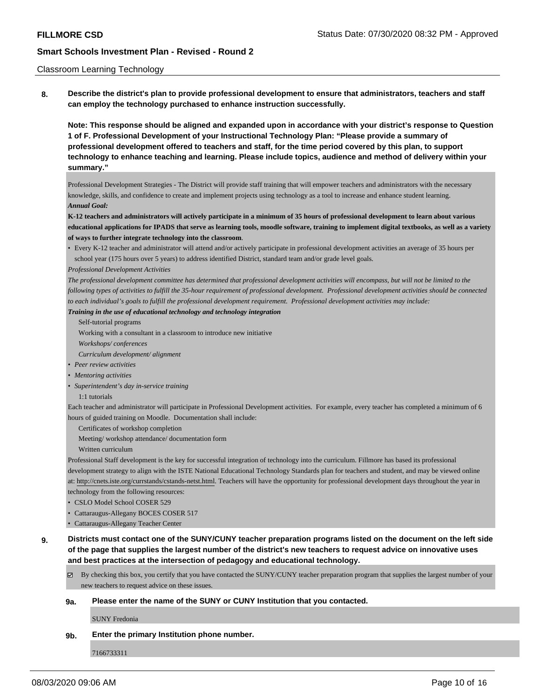#### Classroom Learning Technology

**8. Describe the district's plan to provide professional development to ensure that administrators, teachers and staff can employ the technology purchased to enhance instruction successfully.**

**Note: This response should be aligned and expanded upon in accordance with your district's response to Question 1 of F. Professional Development of your Instructional Technology Plan: "Please provide a summary of professional development offered to teachers and staff, for the time period covered by this plan, to support technology to enhance teaching and learning. Please include topics, audience and method of delivery within your summary."**

Professional Development Strategies - The District will provide staff training that will empower teachers and administrators with the necessary knowledge, skills, and confidence to create and implement projects using technology as a tool to increase and enhance student learning. *Annual Goal:*

**K-12 teachers and administrators will actively participate in a minimum of 35 hours of professional development to learn about various educational applications for IPADS that serve as learning tools, moodle software, training to implement digital textbooks, as well as a variety of ways to further integrate technology into the classroom**.

• Every K-12 teacher and administrator will attend and/or actively participate in professional development activities an average of 35 hours per school year (175 hours over 5 years) to address identified District, standard team and/or grade level goals.

*Professional Development Activities*

*The professional development committee has determined that professional development activities will encompass, but will not be limited to the following types of activities to fulfill the 35-hour requirement of professional development. Professional development activities should be connected to each individual's goals to fulfill the professional development requirement. Professional development activities may include:*

*Training in the use of educational technology and technology integration*

- Self-tutorial programs
- Working with a consultant in a classroom to introduce new initiative

*Workshops/ conferences*

*Curriculum development/ alignment*

- *• Peer review activities*
- *• Mentoring activities*
- *• Superintendent's day in-service training*
	- 1:1 tutorials

Each teacher and administrator will participate in Professional Development activities. For example, every teacher has completed a minimum of 6 hours of guided training on Moodle. Documentation shall include:

Certificates of workshop completion

Meeting/ workshop attendance/ documentation form

Written curriculum

Professional Staff development is the key for successful integration of technology into the curriculum. Fillmore has based its professional development strategy to align with the ISTE National Educational Technology Standards plan for teachers and student, and may be viewed online at: http://cnets.iste.org/currstands/cstands-netst.html. Teachers will have the opportunity for professional development days throughout the year in

technology from the following resources:

- CSLO Model School COSER 529
- Cattaraugus-Allegany BOCES COSER 517

• Cattaraugus-Allegany Teacher Center

**9. Districts must contact one of the SUNY/CUNY teacher preparation programs listed on the document on the left side of the page that supplies the largest number of the district's new teachers to request advice on innovative uses and best practices at the intersection of pedagogy and educational technology.**

By checking this box, you certify that you have contacted the SUNY/CUNY teacher preparation program that supplies the largest number of your new teachers to request advice on these issues.

#### **9a. Please enter the name of the SUNY or CUNY Institution that you contacted.**

SUNY Fredonia

#### **9b. Enter the primary Institution phone number.**

7166733311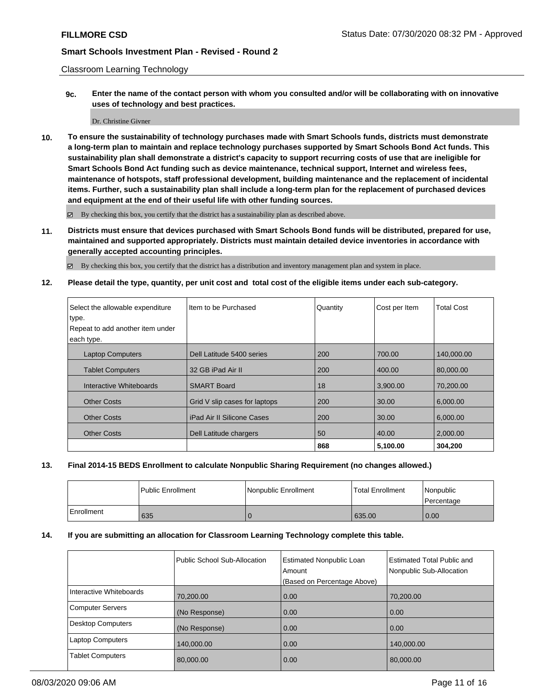Classroom Learning Technology

**9c. Enter the name of the contact person with whom you consulted and/or will be collaborating with on innovative uses of technology and best practices.**

#### Dr. Christine Givner

**10. To ensure the sustainability of technology purchases made with Smart Schools funds, districts must demonstrate a long-term plan to maintain and replace technology purchases supported by Smart Schools Bond Act funds. This sustainability plan shall demonstrate a district's capacity to support recurring costs of use that are ineligible for Smart Schools Bond Act funding such as device maintenance, technical support, Internet and wireless fees, maintenance of hotspots, staff professional development, building maintenance and the replacement of incidental items. Further, such a sustainability plan shall include a long-term plan for the replacement of purchased devices and equipment at the end of their useful life with other funding sources.**

By checking this box, you certify that the district has a sustainability plan as described above.

**11. Districts must ensure that devices purchased with Smart Schools Bond funds will be distributed, prepared for use, maintained and supported appropriately. Districts must maintain detailed device inventories in accordance with generally accepted accounting principles.**

By checking this box, you certify that the district has a distribution and inventory management plan and system in place.

**12. Please detail the type, quantity, per unit cost and total cost of the eligible items under each sub-category.**

| Select the allowable expenditure | Item to be Purchased              | Quantity | Cost per Item | <b>Total Cost</b> |
|----------------------------------|-----------------------------------|----------|---------------|-------------------|
| type.                            |                                   |          |               |                   |
| Repeat to add another item under |                                   |          |               |                   |
| each type.                       |                                   |          |               |                   |
| <b>Laptop Computers</b>          | Dell Latitude 5400 series         | 200      | 700.00        | 140,000.00        |
| <b>Tablet Computers</b>          | 32 GB iPad Air II                 | 200      | 400.00        | 80.000.00         |
| Interactive Whiteboards          | <b>SMART Board</b>                | 18       | 3,900.00      | 70,200.00         |
| <b>Other Costs</b>               | Grid V slip cases for laptops     | 200      | 30.00         | 6,000.00          |
| <b>Other Costs</b>               | <b>iPad Air II Silicone Cases</b> | 200      | 30.00         | 6,000.00          |
| <b>Other Costs</b>               | Dell Latitude chargers            | 50       | 40.00         | 2,000.00          |
|                                  |                                   | 868      | 5,100.00      | 304.200           |

### **13. Final 2014-15 BEDS Enrollment to calculate Nonpublic Sharing Requirement (no changes allowed.)**

|              | Public Enrollment | Nonpublic Enrollment | <b>Total Enrollment</b> | l Nonpublic<br>l Percentage |
|--------------|-------------------|----------------------|-------------------------|-----------------------------|
| l Enrollment | 635               |                      | 635.00                  | 0.00                        |

#### **14. If you are submitting an allocation for Classroom Learning Technology complete this table.**

|                          | <b>Public School Sub-Allocation</b> | <b>Estimated Nonpublic Loan</b><br>Amount<br>(Based on Percentage Above) | <b>Estimated Total Public and</b><br>Nonpublic Sub-Allocation |
|--------------------------|-------------------------------------|--------------------------------------------------------------------------|---------------------------------------------------------------|
| Interactive Whiteboards  | 70,200.00                           | 0.00                                                                     | 70.200.00                                                     |
| <b>Computer Servers</b>  | (No Response)                       | 0.00                                                                     | 0.00                                                          |
| <b>Desktop Computers</b> | (No Response)                       | 0.00                                                                     | 0.00                                                          |
| <b>Laptop Computers</b>  | 140,000.00                          | 0.00                                                                     | 140.000.00                                                    |
| <b>Tablet Computers</b>  | 80,000.00                           | 0.00                                                                     | 80,000.00                                                     |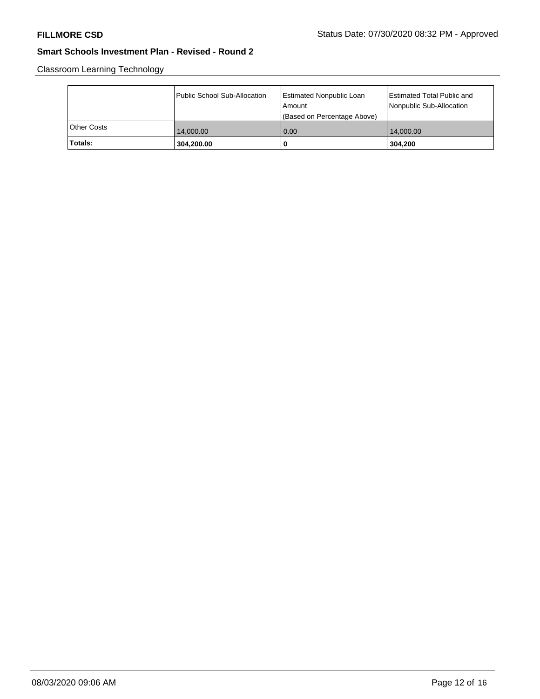Classroom Learning Technology

|             | Public School Sub-Allocation | <b>Estimated Nonpublic Loan</b><br>l Amount<br>(Based on Percentage Above) | Estimated Total Public and<br>Nonpublic Sub-Allocation |
|-------------|------------------------------|----------------------------------------------------------------------------|--------------------------------------------------------|
| Other Costs | 14,000.00                    | 0.00                                                                       | 14,000.00                                              |
| Totals:     | 304,200.00                   | 0                                                                          | 304.200                                                |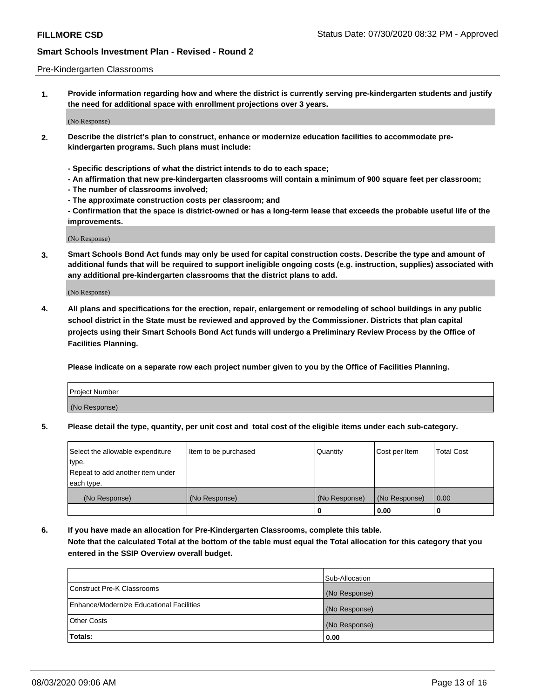#### Pre-Kindergarten Classrooms

**1. Provide information regarding how and where the district is currently serving pre-kindergarten students and justify the need for additional space with enrollment projections over 3 years.**

(No Response)

- **2. Describe the district's plan to construct, enhance or modernize education facilities to accommodate prekindergarten programs. Such plans must include:**
	- **Specific descriptions of what the district intends to do to each space;**
	- **An affirmation that new pre-kindergarten classrooms will contain a minimum of 900 square feet per classroom;**
	- **The number of classrooms involved;**
	- **The approximate construction costs per classroom; and**
	- **Confirmation that the space is district-owned or has a long-term lease that exceeds the probable useful life of the improvements.**

(No Response)

**3. Smart Schools Bond Act funds may only be used for capital construction costs. Describe the type and amount of additional funds that will be required to support ineligible ongoing costs (e.g. instruction, supplies) associated with any additional pre-kindergarten classrooms that the district plans to add.**

(No Response)

**4. All plans and specifications for the erection, repair, enlargement or remodeling of school buildings in any public school district in the State must be reviewed and approved by the Commissioner. Districts that plan capital projects using their Smart Schools Bond Act funds will undergo a Preliminary Review Process by the Office of Facilities Planning.**

**Please indicate on a separate row each project number given to you by the Office of Facilities Planning.**

| Project Number |  |
|----------------|--|
| (No Response)  |  |
|                |  |

**5. Please detail the type, quantity, per unit cost and total cost of the eligible items under each sub-category.**

| Select the allowable expenditure | Item to be purchased | Quantity      | Cost per Item | <b>Total Cost</b> |
|----------------------------------|----------------------|---------------|---------------|-------------------|
| type.                            |                      |               |               |                   |
| Repeat to add another item under |                      |               |               |                   |
| each type.                       |                      |               |               |                   |
| (No Response)                    | (No Response)        | (No Response) | (No Response) | 0.00              |
|                                  |                      | U             | 0.00          |                   |

**6. If you have made an allocation for Pre-Kindergarten Classrooms, complete this table. Note that the calculated Total at the bottom of the table must equal the Total allocation for this category that you entered in the SSIP Overview overall budget.**

|                                          | Sub-Allocation |
|------------------------------------------|----------------|
| Construct Pre-K Classrooms               | (No Response)  |
| Enhance/Modernize Educational Facilities | (No Response)  |
| <b>Other Costs</b>                       | (No Response)  |
| Totals:                                  | 0.00           |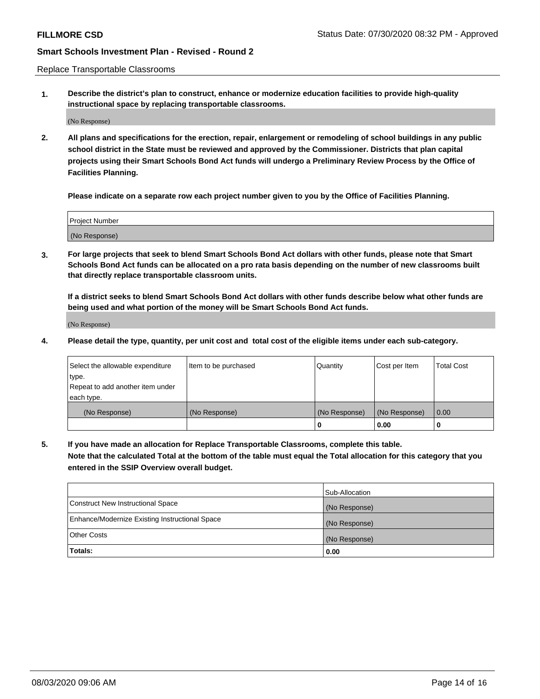Replace Transportable Classrooms

**1. Describe the district's plan to construct, enhance or modernize education facilities to provide high-quality instructional space by replacing transportable classrooms.**

(No Response)

**2. All plans and specifications for the erection, repair, enlargement or remodeling of school buildings in any public school district in the State must be reviewed and approved by the Commissioner. Districts that plan capital projects using their Smart Schools Bond Act funds will undergo a Preliminary Review Process by the Office of Facilities Planning.**

**Please indicate on a separate row each project number given to you by the Office of Facilities Planning.**

| Project Number |  |
|----------------|--|
|                |  |
|                |  |
|                |  |
|                |  |
| (No Response)  |  |
|                |  |
|                |  |
|                |  |

**3. For large projects that seek to blend Smart Schools Bond Act dollars with other funds, please note that Smart Schools Bond Act funds can be allocated on a pro rata basis depending on the number of new classrooms built that directly replace transportable classroom units.**

**If a district seeks to blend Smart Schools Bond Act dollars with other funds describe below what other funds are being used and what portion of the money will be Smart Schools Bond Act funds.**

(No Response)

**4. Please detail the type, quantity, per unit cost and total cost of the eligible items under each sub-category.**

| Select the allowable expenditure<br>∣type.     | Item to be purchased | Quantity      | Cost per Item | Total Cost |
|------------------------------------------------|----------------------|---------------|---------------|------------|
| Repeat to add another item under<br>each type. |                      |               |               |            |
| (No Response)                                  | (No Response)        | (No Response) | (No Response) | 0.00       |
|                                                |                      | u             | 0.00          |            |

**5. If you have made an allocation for Replace Transportable Classrooms, complete this table. Note that the calculated Total at the bottom of the table must equal the Total allocation for this category that you entered in the SSIP Overview overall budget.**

|                                                | Sub-Allocation |
|------------------------------------------------|----------------|
| Construct New Instructional Space              | (No Response)  |
| Enhance/Modernize Existing Instructional Space | (No Response)  |
| Other Costs                                    | (No Response)  |
| Totals:                                        | 0.00           |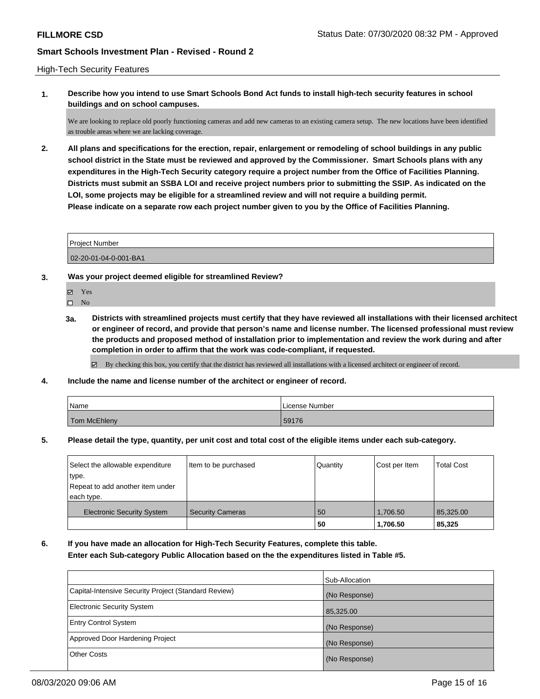#### High-Tech Security Features

**1. Describe how you intend to use Smart Schools Bond Act funds to install high-tech security features in school buildings and on school campuses.**

We are looking to replace old poorly functioning cameras and add new cameras to an existing camera setup. The new locations have been identified as trouble areas where we are lacking coverage.

**2. All plans and specifications for the erection, repair, enlargement or remodeling of school buildings in any public school district in the State must be reviewed and approved by the Commissioner. Smart Schools plans with any expenditures in the High-Tech Security category require a project number from the Office of Facilities Planning. Districts must submit an SSBA LOI and receive project numbers prior to submitting the SSIP. As indicated on the LOI, some projects may be eligible for a streamlined review and will not require a building permit. Please indicate on a separate row each project number given to you by the Office of Facilities Planning.**

Project Number

02-20-01-04-0-001-BA1

- **3. Was your project deemed eligible for streamlined Review?**
	- Yes
	- $\hfill \square$  No
	- **3a. Districts with streamlined projects must certify that they have reviewed all installations with their licensed architect or engineer of record, and provide that person's name and license number. The licensed professional must review the products and proposed method of installation prior to implementation and review the work during and after completion in order to affirm that the work was code-compliant, if requested.**

By checking this box, you certify that the district has reviewed all installations with a licensed architect or engineer of record.

**4. Include the name and license number of the architect or engineer of record.**

| Name         | License Number |
|--------------|----------------|
| Tom McEhleny | 59176          |

**5. Please detail the type, quantity, per unit cost and total cost of the eligible items under each sub-category.**

| Select the allowable expenditure<br>type.      | Item to be purchased    | Quantity | Cost per Item | <b>Total Cost</b> |
|------------------------------------------------|-------------------------|----------|---------------|-------------------|
| Repeat to add another item under<br>each type. |                         |          |               |                   |
| <b>Electronic Security System</b>              | <b>Security Cameras</b> | 50       | 1.706.50      | 85,325.00         |
|                                                |                         | 50       | 1,706.50      | 85,325            |

**6. If you have made an allocation for High-Tech Security Features, complete this table. Enter each Sub-category Public Allocation based on the the expenditures listed in Table #5.**

|                                                      | Sub-Allocation |
|------------------------------------------------------|----------------|
| Capital-Intensive Security Project (Standard Review) | (No Response)  |
| <b>Electronic Security System</b>                    | 85,325.00      |
| <b>Entry Control System</b>                          | (No Response)  |
| Approved Door Hardening Project                      | (No Response)  |
| <b>Other Costs</b>                                   | (No Response)  |